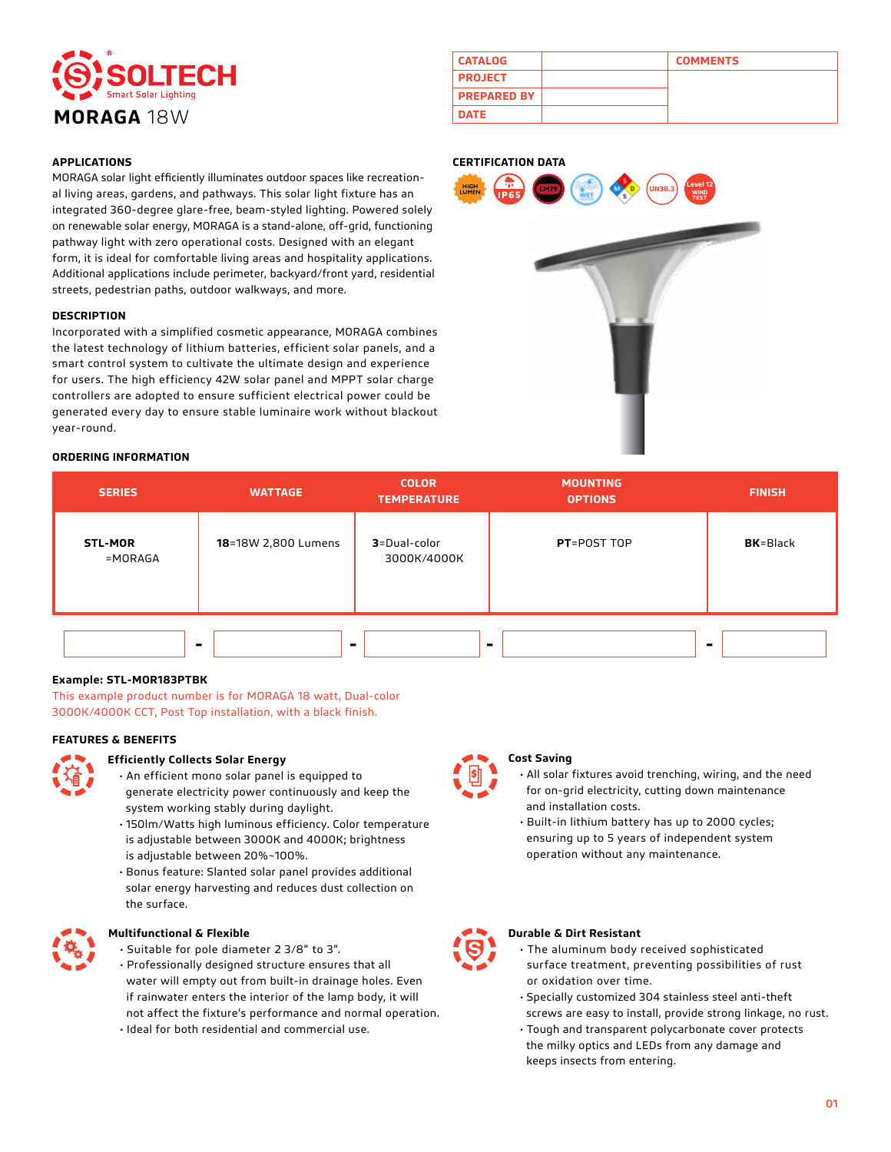

|  | <b>APPLICATIONS</b> |
|--|---------------------|

MORAGA solar light efficiently illuminates outdoor spaces like recreational living areas, gardens, and pathways. This solar light fixture has an integrated 360-degree glare-free, beam-styled lighting. Powered solely on renewable solar energy, MORAGA is a stand-alone, off-grid, functioning pathway light with zero operational costs. Designed with an elegant form, it is ideal for comfortable living areas and hospitality applications. Additional applications include perimeter, backyard/front yard, residential streets, pedestrian paths, outdoor walkways, and more.

#### **DESCRIPTION**

Incorporated with a simplified cosmetic appearance, MORAGA combines the latest technology of lithium batteries, efficient solar panels, and a smart control system to cultivate the ultimate design and experience for users. The high efficiency 42W solar panel and MPPT solar charge controllers are adopted to ensure sufficient electrical power could be generated every day to ensure stable luminaire work without blackout year-round.

| <b>CATALOG</b>     | <b>COMMENTS</b> |
|--------------------|-----------------|
| <b>PROJECT</b>     |                 |
| <b>PREPARED BY</b> |                 |
| <b>DATE</b>        |                 |

#### **CERTIFICATION DATA**



#### **ORDERING INFORMATION**

| <b>SERIES</b>             | <b>WATTAGE</b>      | <b>COLOR</b><br><b>TEMPERATURE</b> | <b>MOUNTING</b><br><b>OPTIONS</b> | <b>FINISH</b>    |
|---------------------------|---------------------|------------------------------------|-----------------------------------|------------------|
| <b>STL-MOR</b><br>=MORAGA | 18=18W 2,800 Lumens | 3=Dual-color<br>3000K/4000K        | PT=POST TOP                       | <b>BK</b> =Black |
|                           | ۰<br>$\blacksquare$ |                                    |                                   | ۰                |

#### **Example: STL-MOR183PTBK**

This example product number is for MORAGA 18 watt, Dual-color 3000K/4000K CCT, Post Top installation, with a black finish.

#### **FEATURES & BENEFITS**



#### **Efficiently Collects Solar Energy**

- An efficient mono solar panel is equipped to generate electricity power continuously and keep the
- system working stably during daylight. • 150lm/Watts high luminous efficiency. Color temperature is adjustable between 3000K and 4000K; brightness is adjustable between 20%~100%.
- Bonus feature: Slanted solar panel provides additional solar energy harvesting and reduces dust collection on the surface.



#### **Multifunctional & Flexible**

- Suitable for pole diameter 2 3/8" to 3".
- Professionally designed structure ensures that all water will empty out from built-in drainage holes. Even if rainwater enters the interior of the lamp body, it will not affect the fixture's performance and normal operation.
- Ideal for both residential and commercial use.



#### **Cost Saving**

- All solar fixtures avoid trenching, wiring, and the need for on-grid electricity, cutting down maintenance and installation costs.
- Built-in lithium battery has up to 2000 cycles; ensuring up to 5 years of independent system operation without any maintenance.



### **Durable & Dirt Resistant**

- The aluminum body received sophisticated surface treatment, preventing possibilities of rust or oxidation over time.
- Specially customized 304 stainless steel anti-theft
- screws are easy to install, provide strong linkage, no rust.
- Tough and transparent polycarbonate cover protects the milky optics and LEDs from any damage and keeps insects from entering.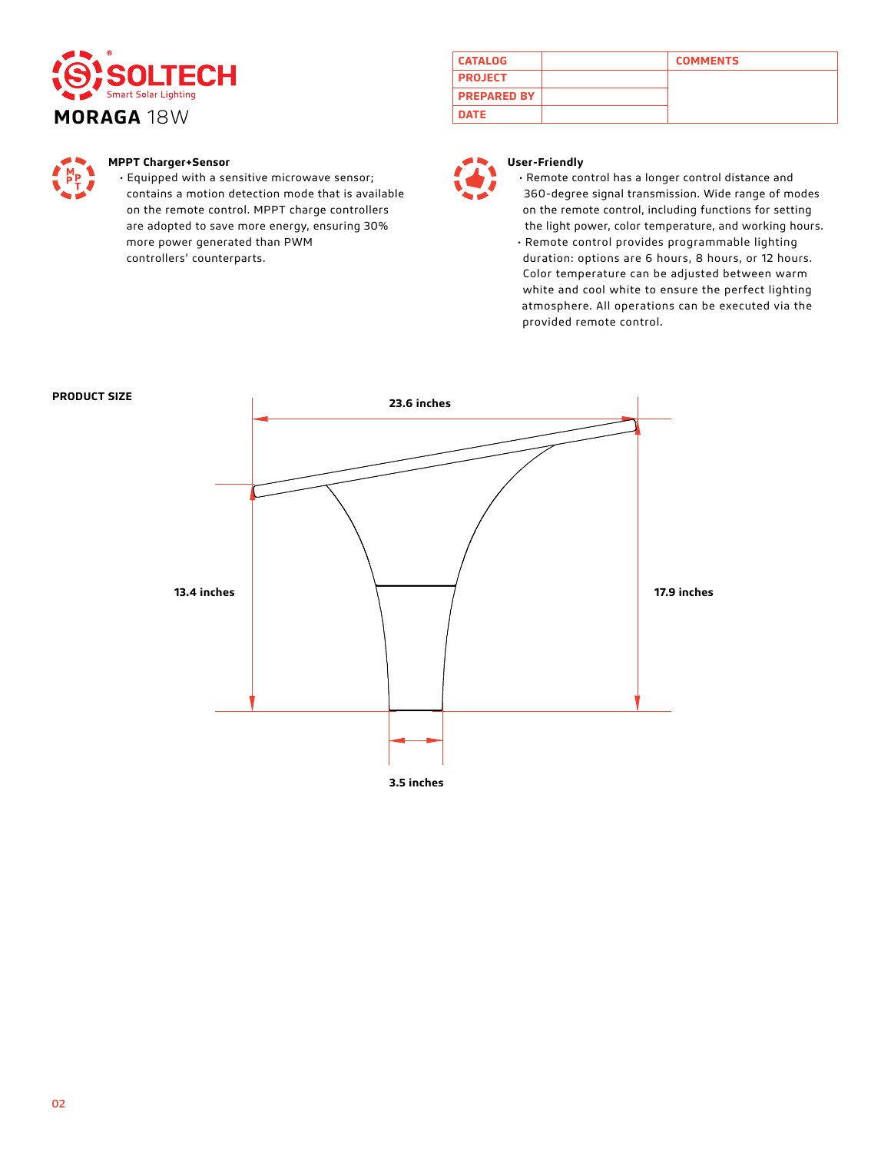



### **MPPT Charger+Sensor**

• Equipped with a sensitive microwave sensor; contains a motion detection mode that is available on the remote control. MPPT charge controllers are adopted to save more energy, ensuring 30% more power generated than PWM controllers' counterparts.

| <b>CATALOG</b>     | <b>COMMENTS</b> |
|--------------------|-----------------|
| <b>PROJECT</b>     |                 |
| <b>PREPARED BY</b> |                 |
| <b>DATE</b>        |                 |



### **User-Friendly**

• Remote control has a longer control distance and 360-degree signal transmission. Wide range of modes on the remote control, including functions for setting the light power, color temperature, and working hours. • Remote control provides programmable lighting duration: options are 6 hours, 8 hours, or 12 hours. Color temperature can be adjusted between warm white and cool white to ensure the perfect lighting atmosphere. All operations can be executed via the provided remote control.

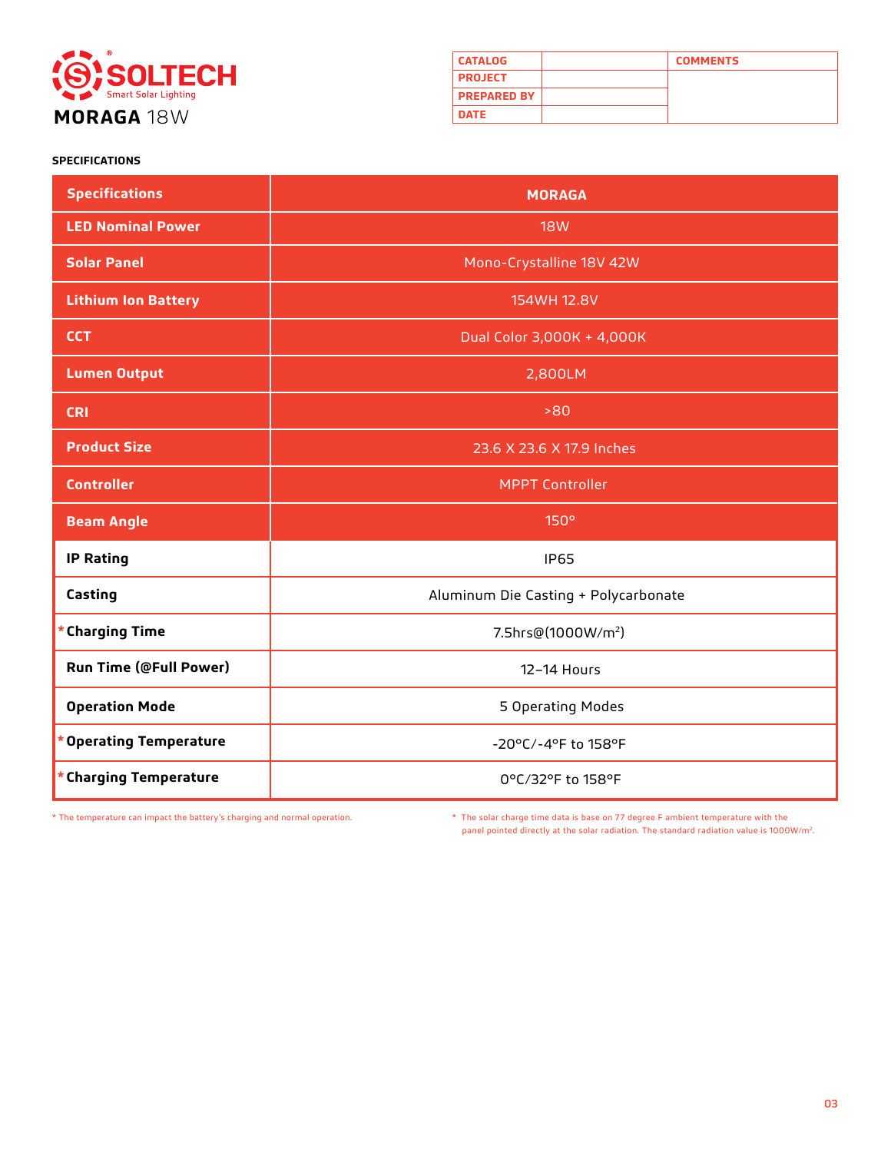

| <b>CATALOG</b>     | <b>COMMENTS</b> |
|--------------------|-----------------|
| <b>PROJECT</b>     |                 |
| <b>PREPARED BY</b> |                 |
| <b>DATE</b>        |                 |

### **SPECIFICATIONS**

| <b>Specifications</b>         | <b>MORAGA</b>                        |  |
|-------------------------------|--------------------------------------|--|
| <b>LED Nominal Power</b>      | <b>18W</b>                           |  |
| <b>Solar Panel</b>            | Mono-Crystalline 18V 42W             |  |
| <b>Lithium Ion Battery</b>    | 154WH 12.8V                          |  |
| <b>CCT</b>                    | Dual Color 3,000K + 4,000K           |  |
| <b>Lumen Output</b>           | 2,800LM                              |  |
| <b>CRI</b>                    | >80                                  |  |
| <b>Product Size</b>           | 23.6 X 23.6 X 17.9 Inches            |  |
| <b>Controller</b>             | <b>MPPT Controller</b>               |  |
| <b>Beam Angle</b>             | 150°                                 |  |
| <b>IP Rating</b>              | <b>IP65</b>                          |  |
| Casting                       | Aluminum Die Casting + Polycarbonate |  |
| * Charging Time               | 7.5hrs@(1000W/m <sup>2</sup> )       |  |
| <b>Run Time (@Full Power)</b> | 12-14 Hours                          |  |
| <b>Operation Mode</b>         | 5 Operating Modes                    |  |
| * Operating Temperature       | -20°C/-4°F to 158°F                  |  |
| * Charging Temperature        | 0°C/32°F to 158°F                    |  |

\* The temperature can impact the battery's charging and normal operation. \* The solar charge time data is base on 77 degree F ambient temperature with the panel pointed directly at the solar radiation. The standard radiation value is 1000W/m2.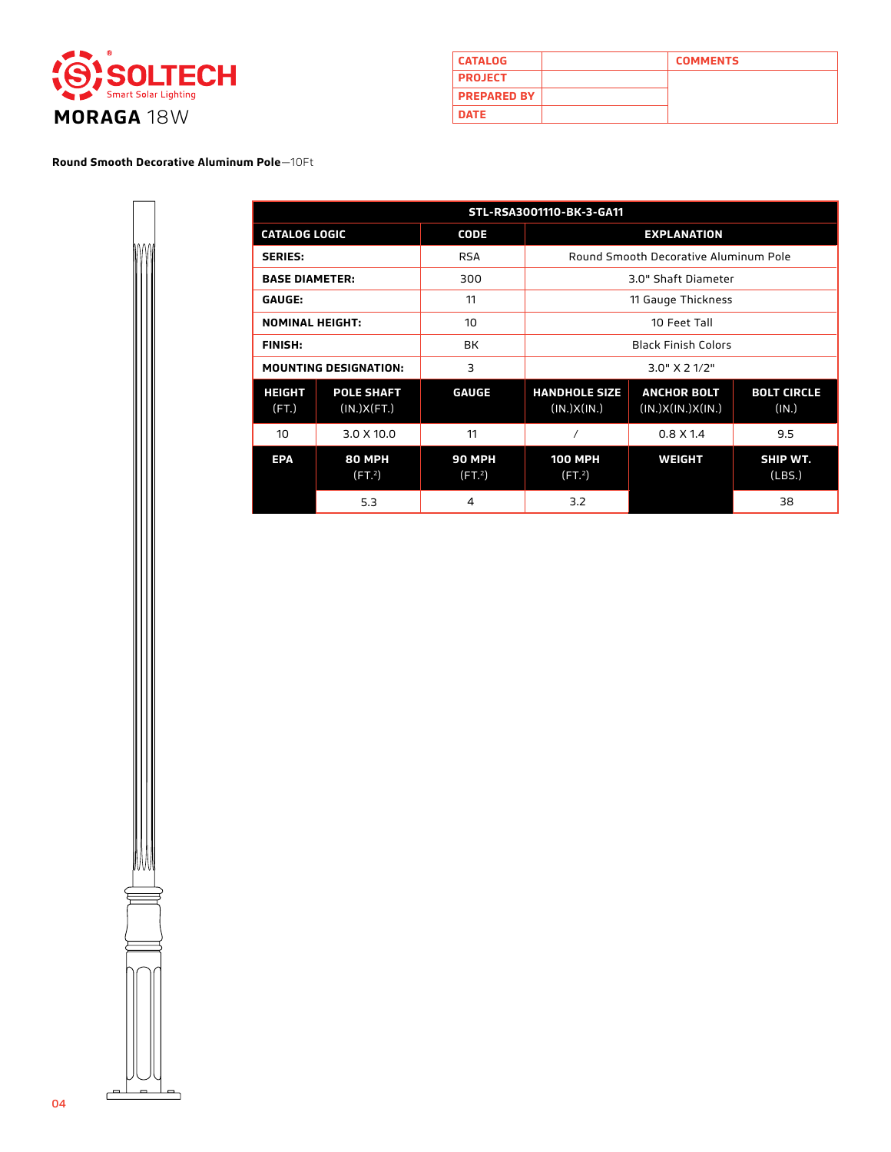

| <b>CATALOG</b>     | <b>COMMENTS</b> |
|--------------------|-----------------|
| <b>PROJECT</b>     |                 |
| <b>PREPARED BY</b> |                 |
| <b>DATE</b>        |                 |

**Round Smooth Decorative Aluminum Pole**—10Ft

| STL-RSA3001110-BK-3-GA11 |                                     |                                      |                                      |                                         |                             |
|--------------------------|-------------------------------------|--------------------------------------|--------------------------------------|-----------------------------------------|-----------------------------|
| <b>CATALOG LOGIC</b>     |                                     | <b>CODE</b>                          | <b>EXPLANATION</b>                   |                                         |                             |
| <b>SERIES:</b>           |                                     | <b>RSA</b>                           |                                      | Round Smooth Decorative Aluminum Pole   |                             |
| <b>BASE DIAMETER:</b>    |                                     | 300                                  |                                      | 3.0" Shaft Diameter                     |                             |
| <b>GAUGE:</b>            |                                     | 11                                   |                                      | 11 Gauge Thickness                      |                             |
| <b>NOMINAL HEIGHT:</b>   |                                     | 10                                   |                                      | 10 Feet Tall                            |                             |
| <b>FINISH:</b>           |                                     | <b>BK</b>                            | <b>Black Finish Colors</b>           |                                         |                             |
|                          | <b>MOUNTING DESIGNATION:</b>        | 3                                    | $3.0"$ X 2 1/2"                      |                                         |                             |
| <b>HEIGHT</b><br>(FT)    | <b>POLE SHAFT</b><br>(IN.)X(FT.)    | <b>GAUGE</b>                         | <b>HANDHOLE SIZE</b><br>(IN.)X(IN.)  | <b>ANCHOR BOLT</b><br>(IN.)X(IN.)X(IN.) | <b>BOLT CIRCLE</b><br>(IN.) |
| 10                       | 3.0 X 10.0                          | 11                                   |                                      | $0.8 \times 1.4$                        | 9.5                         |
| <b>EPA</b>               | <b>80 MPH</b><br>(FT <sup>2</sup> ) | <b>90 MPH</b><br>(FT. <sup>2</sup> ) | <b>100 MPH</b><br>(FT <sup>2</sup> ) | <b>WEIGHT</b>                           | SHIP WT.<br>(LBS.)          |
|                          | 5.3                                 | 4                                    | 3.2                                  |                                         | 38                          |

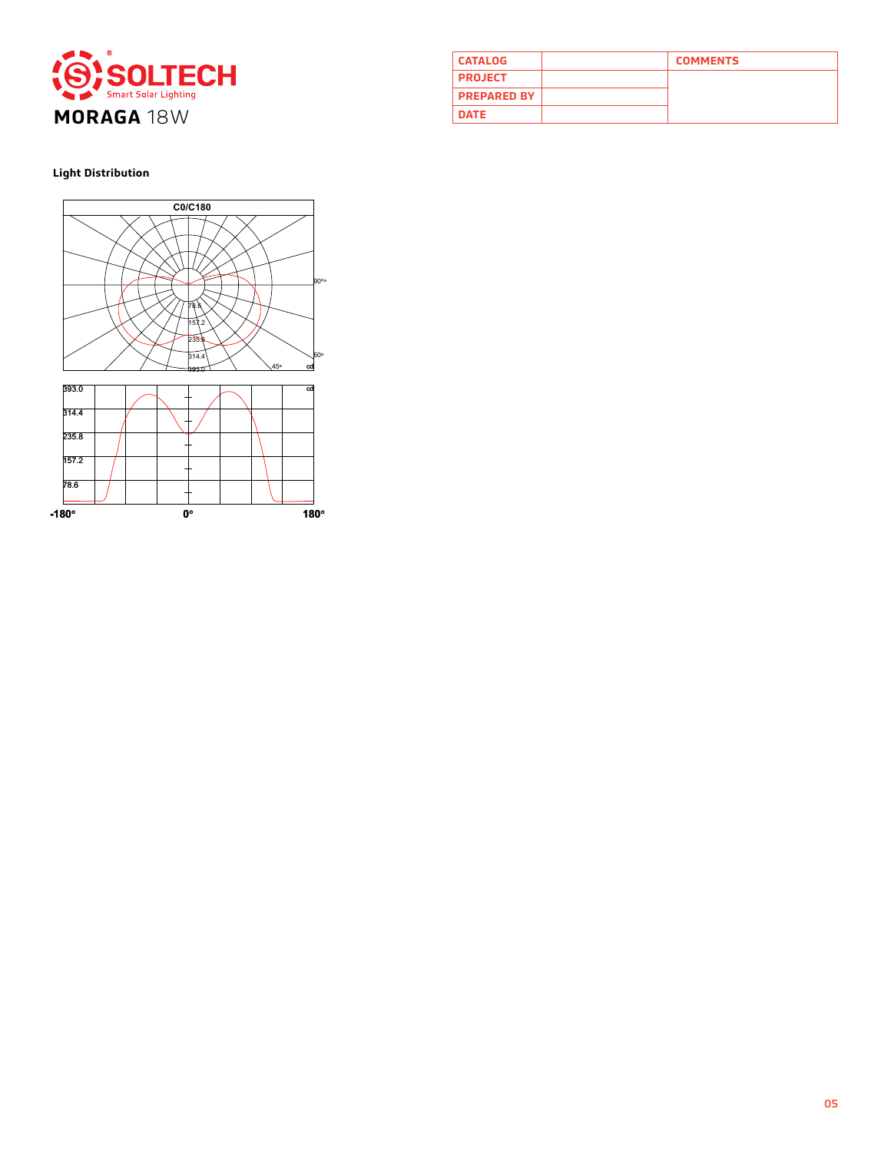

| <b>CATALOG</b>     | <b>COMMENTS</b> |
|--------------------|-----------------|
| <b>PROJECT</b>     |                 |
| <b>PREPARED BY</b> |                 |
| <b>DATE</b>        |                 |

**Light Distribution**

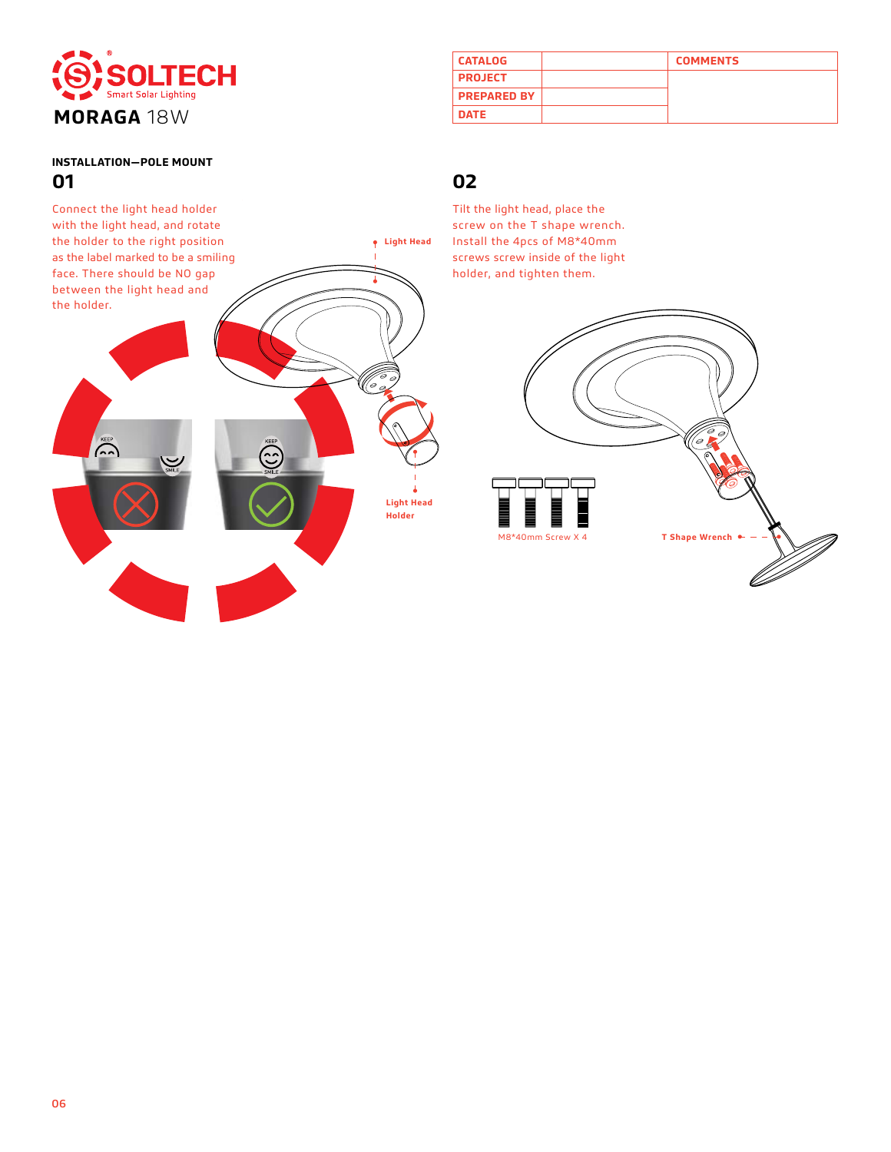

# **INSTALLATION—POLE MOUNT**

| <b>CATALOG</b>     | <b>COMMENTS</b> |
|--------------------|-----------------|
| <b>PROJECT</b>     |                 |
| <b>PREPARED BY</b> |                 |
| <b>DATE</b>        |                 |

Tilt the light head, place the screw on the T shape wrench. Install the 4pcs of M8\*40mm screws screw inside of the light holder, and tighten them.



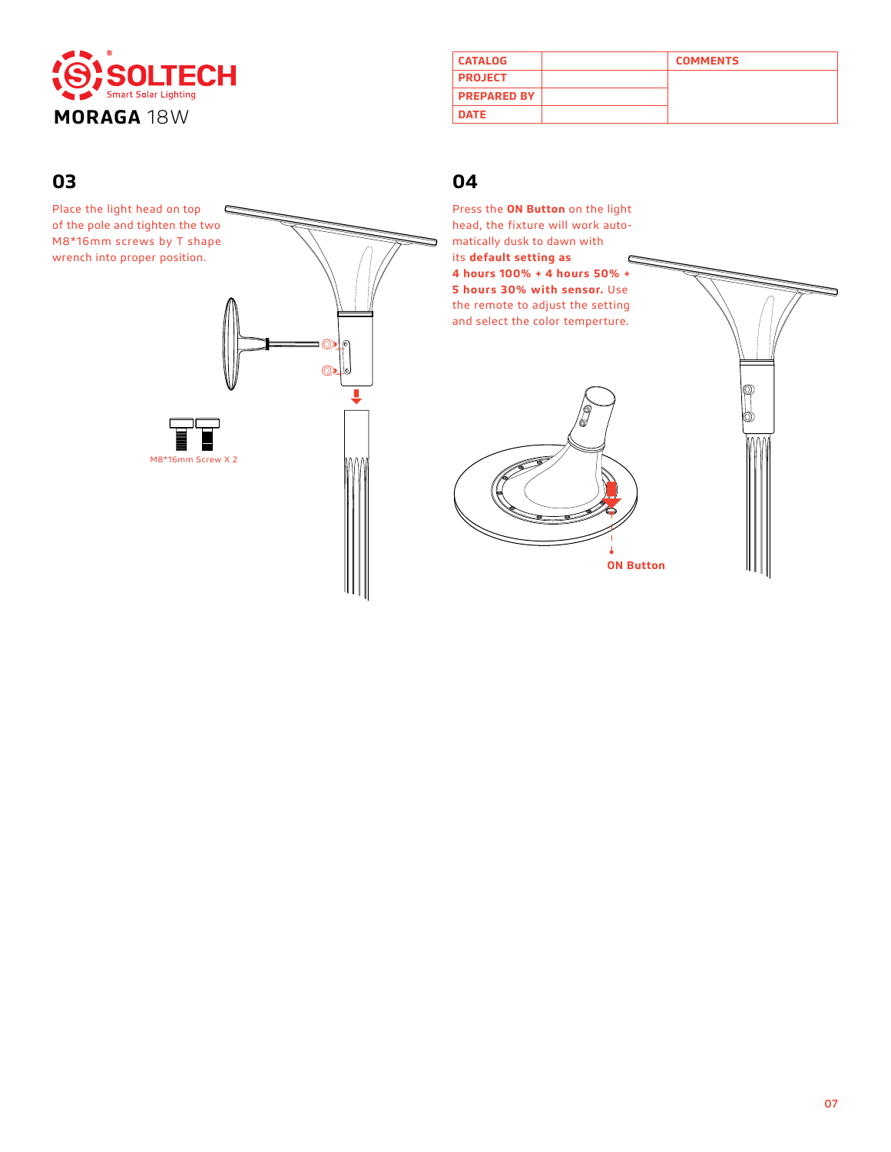

| <b>CATALOG</b>     | <b>COMMENTS</b> |
|--------------------|-----------------|
| <b>PROJECT</b>     |                 |
| <b>PREPARED BY</b> |                 |
| <b>DATE</b>        |                 |
|                    |                 |

## **03 04**

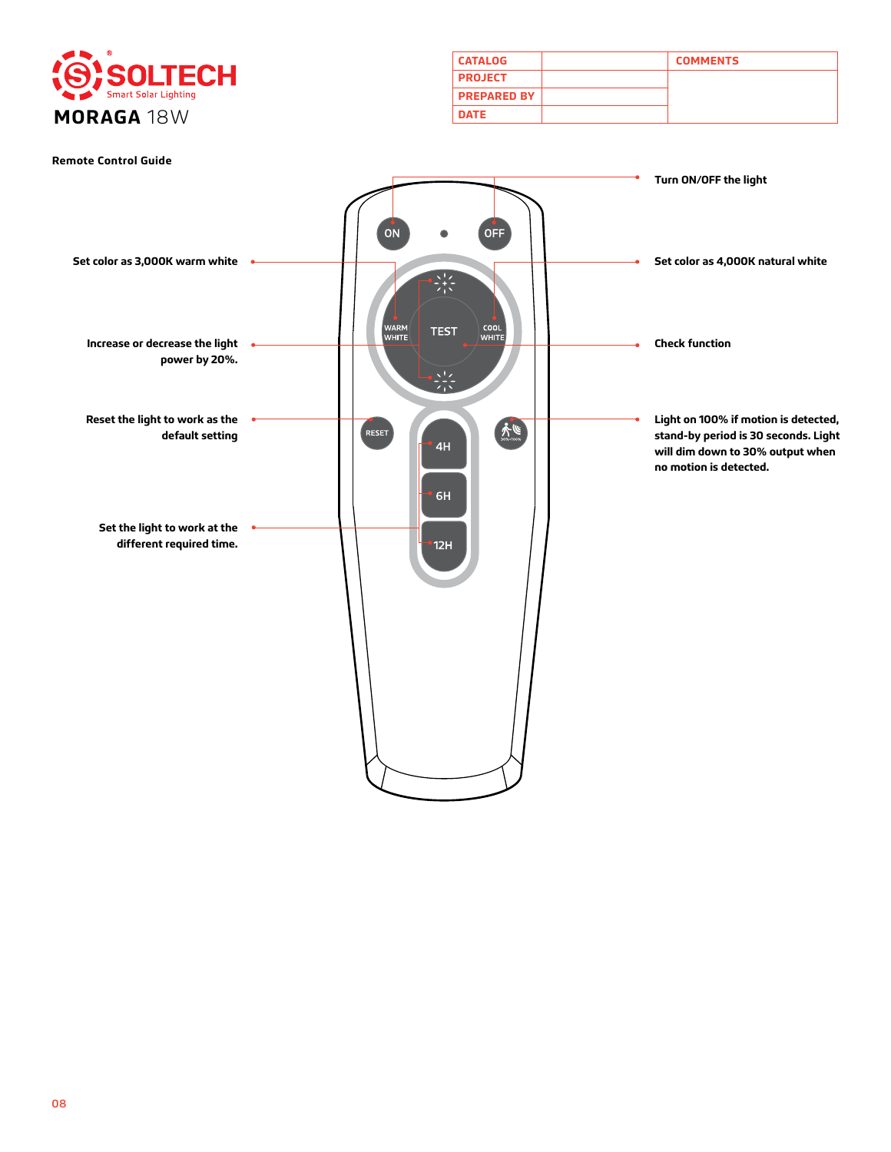

| <b>CATALOG</b>     | <b>COMMENTS</b> |
|--------------------|-----------------|
| <b>PROJECT</b>     |                 |
| <b>PREPARED BY</b> |                 |
| <b>DATE</b>        |                 |

#### **Remote Control Guide**

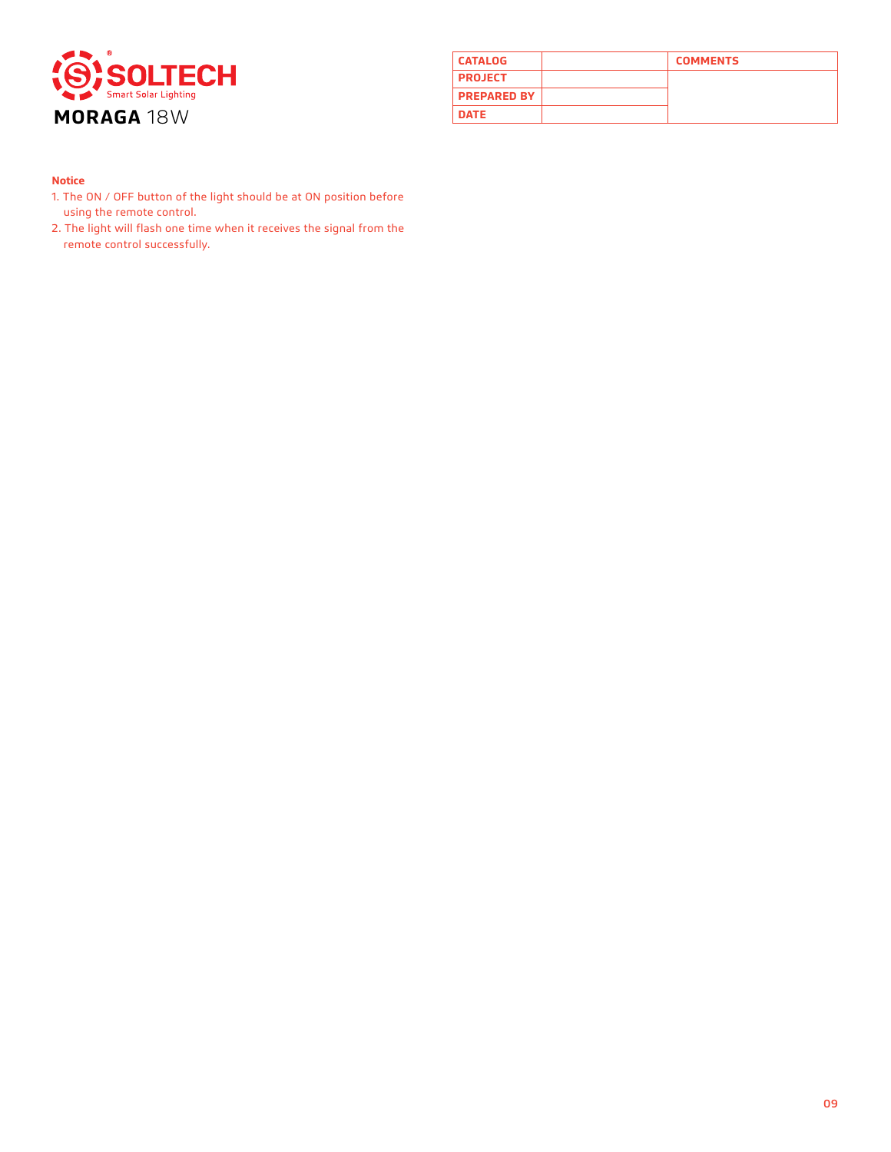

| <b>CATALOG</b>     | <b>COMMENTS</b> |
|--------------------|-----------------|
| <b>PROJECT</b>     |                 |
| <b>PREPARED BY</b> |                 |
| <b>DATE</b>        |                 |

#### **Notice**

- 1. The ON / OFF button of the light should be at ON position before using the remote control.
- 2. The light will flash one time when it receives the signal from the remote control successfully.